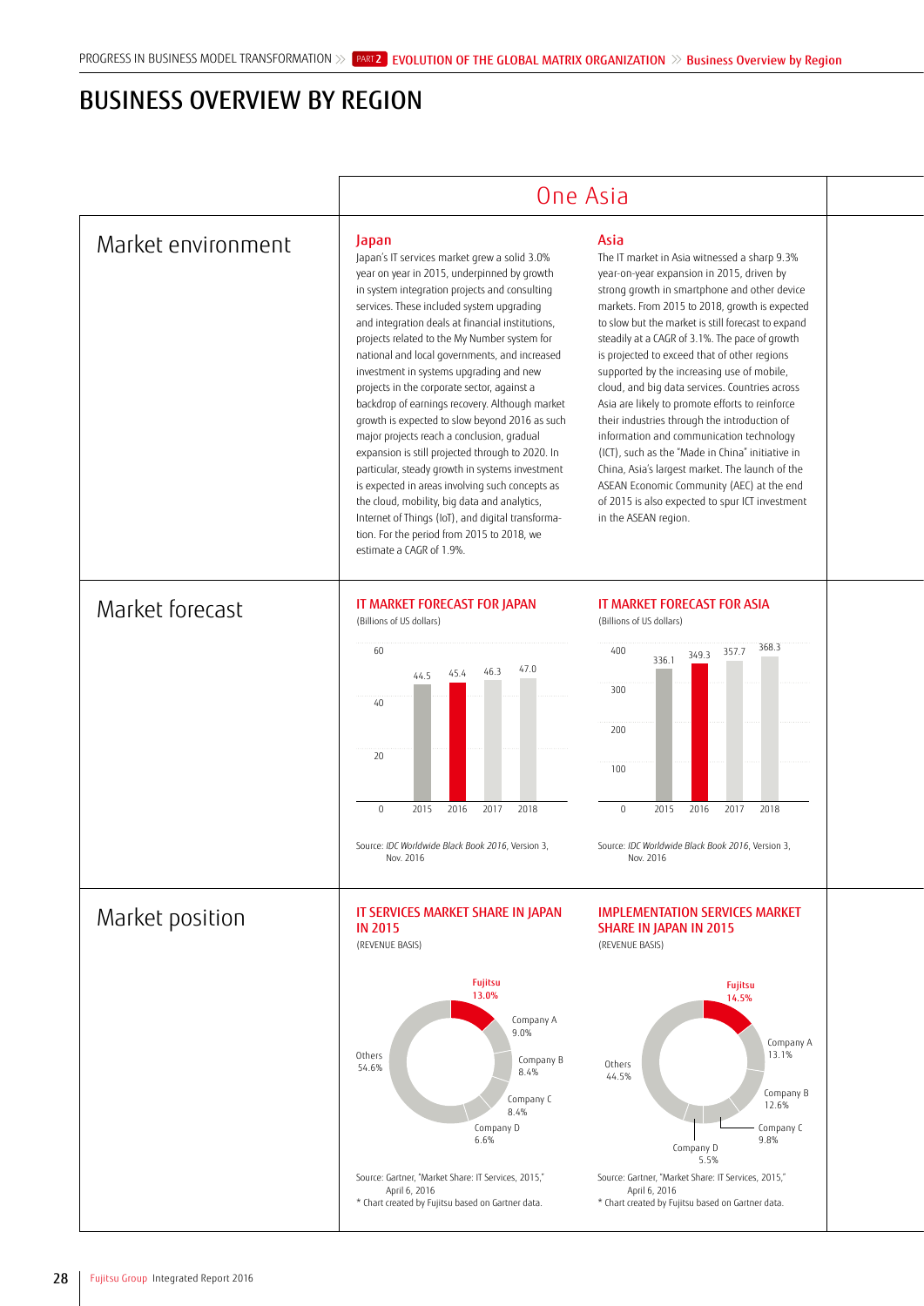## BUSINESS OVERVIEW BY REGION

|                    | One Asia                                                                                                                                                                                                                                                                                                                                                                                                                                                                                                                                                                                                                                                                                                                                                                                                                                                                                                                                     |                                                                                                                                                                                                                                                                                                                                                                                                                                                                                                                                                                                                                                                                                                                                                                                                                                           |  |
|--------------------|----------------------------------------------------------------------------------------------------------------------------------------------------------------------------------------------------------------------------------------------------------------------------------------------------------------------------------------------------------------------------------------------------------------------------------------------------------------------------------------------------------------------------------------------------------------------------------------------------------------------------------------------------------------------------------------------------------------------------------------------------------------------------------------------------------------------------------------------------------------------------------------------------------------------------------------------|-------------------------------------------------------------------------------------------------------------------------------------------------------------------------------------------------------------------------------------------------------------------------------------------------------------------------------------------------------------------------------------------------------------------------------------------------------------------------------------------------------------------------------------------------------------------------------------------------------------------------------------------------------------------------------------------------------------------------------------------------------------------------------------------------------------------------------------------|--|
| Market environment | Japan<br>Japan's IT services market grew a solid 3.0%<br>year on year in 2015, underpinned by growth<br>in system integration projects and consulting<br>services. These included system upgrading<br>and integration deals at financial institutions,<br>projects related to the My Number system for<br>national and local governments, and increased<br>investment in systems upgrading and new<br>projects in the corporate sector, against a<br>backdrop of earnings recovery. Although market<br>growth is expected to slow beyond 2016 as such<br>major projects reach a conclusion, gradual<br>expansion is still projected through to 2020. In<br>particular, steady growth in systems investment<br>is expected in areas involving such concepts as<br>the cloud, mobility, big data and analytics,<br>Internet of Things (IoT), and digital transforma-<br>tion. For the period from 2015 to 2018, we<br>estimate a CAGR of 1.9%. | Asia<br>The IT market in Asia witnessed a sharp 9.3%<br>year-on-year expansion in 2015, driven by<br>strong growth in smartphone and other device<br>markets. From 2015 to 2018, growth is expected<br>to slow but the market is still forecast to expand<br>steadily at a CAGR of 3.1%. The pace of growth<br>is projected to exceed that of other regions<br>supported by the increasing use of mobile,<br>cloud, and big data services. Countries across<br>Asia are likely to promote efforts to reinforce<br>their industries through the introduction of<br>information and communication technology<br>(ICT), such as the "Made in China" initiative in<br>China, Asia's largest market. The launch of the<br>ASEAN Economic Community (AEC) at the end<br>of 2015 is also expected to spur ICT investment<br>in the ASEAN region. |  |
| Market forecast    | IT MARKET FORECAST FOR JAPAN<br>(Billions of US dollars)<br>60<br>47.0<br>46.3<br>45.4<br>44.5<br>40<br>20<br>$\boldsymbol{0}$<br>2015<br>2016<br>2017<br>2018<br>Source: IDC Worldwide Black Book 2016, Version 3,<br>Nov. 2016                                                                                                                                                                                                                                                                                                                                                                                                                                                                                                                                                                                                                                                                                                             | IT MARKET FORECAST FOR ASIA<br>(Billions of US dollars)<br>368.3<br>400<br>357.7<br>349.3<br>336.1<br>300<br>200<br>100<br>$\,0\,$<br>2015<br>2016<br>2017<br>2018<br>Source: IDC Worldwide Black Book 2016, Version 3,<br>Nov. 2016                                                                                                                                                                                                                                                                                                                                                                                                                                                                                                                                                                                                      |  |
| Market position    | IT SERVICES MARKET SHARE IN JAPAN<br><b>IN 2015</b><br>(REVENUE BASIS)<br><b>Fujitsu</b><br>13.0%<br>Company A<br>9.0%<br>Others<br>Company B<br>54.6%<br>8.4%<br>Company C<br>8.4%<br>Company D<br>6.6%<br>Source: Gartner, "Market Share: IT Services, 2015,"<br>April 6, 2016<br>* Chart created by Fujitsu based on Gartner data.                                                                                                                                                                                                                                                                                                                                                                                                                                                                                                                                                                                                        | <b>IMPLEMENTATION SERVICES MARKET</b><br><b>SHARE IN JAPAN IN 2015</b><br>(REVENUE BASIS)<br><b>Fujitsu</b><br>14.5%<br>Company A<br>13.1%<br>Others<br>44.5%<br>Company B<br>12.6%<br>Company C<br>9.8%<br>Company D<br>5.5%<br>Source: Gartner, "Market Share: IT Services, 2015,"<br>April 6, 2016<br>* Chart created by Fujitsu based on Gartner data.                                                                                                                                                                                                                                                                                                                                                                                                                                                                                |  |